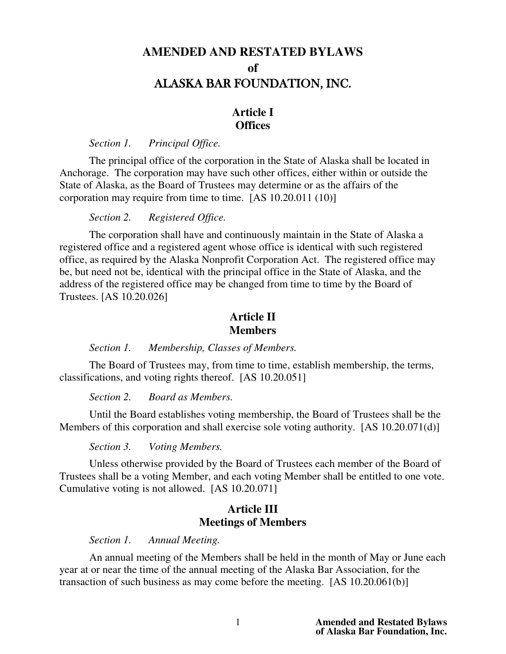# **AMENDED AND RESTATED BYLAWS of** ALASKA BAR FOUNDATION, INC.

# **Article I Offices**

*Section 1. Principal Office.*

The principal office of the corporation in the State of Alaska shall be located in Anchorage. The corporation may have such other offices, either within or outside the State of Alaska, as the Board of Trustees may determine or as the affairs of the corporation may require from time to time. [AS 10.20.011 (10)]

*Section 2. Registered Office.*

The corporation shall have and continuously maintain in the State of Alaska a registered office and a registered agent whose office is identical with such registered office, as required by the Alaska Nonprofit Corporation Act. The registered office may be, but need not be, identical with the principal office in the State of Alaska, and the address of the registered office may be changed from time to time by the Board of Trustees. [AS 10.20.026]

# **Article II Members**

*Section 1. Membership, Classes of Members.*

The Board of Trustees may, from time to time, establish membership, the terms, classifications, and voting rights thereof. [AS 10.20.051]

*Section 2. Board as Members.*

Until the Board establishes voting membership, the Board of Trustees shall be the Members of this corporation and shall exercise sole voting authority. [AS 10.20.071(d)]

*Section 3. Voting Members.*

Unless otherwise provided by the Board of Trustees each member of the Board of Trustees shall be a voting Member, and each voting Member shall be entitled to one vote. Cumulative voting is not allowed. [AS 10.20.071]

# **Article III Meetings of Members**

*Section 1. Annual Meeting.*

An annual meeting of the Members shall be held in the month of May or June each year at or near the time of the annual meeting of the Alaska Bar Association, for the transaction of such business as may come before the meeting. [AS 10.20.061(b)]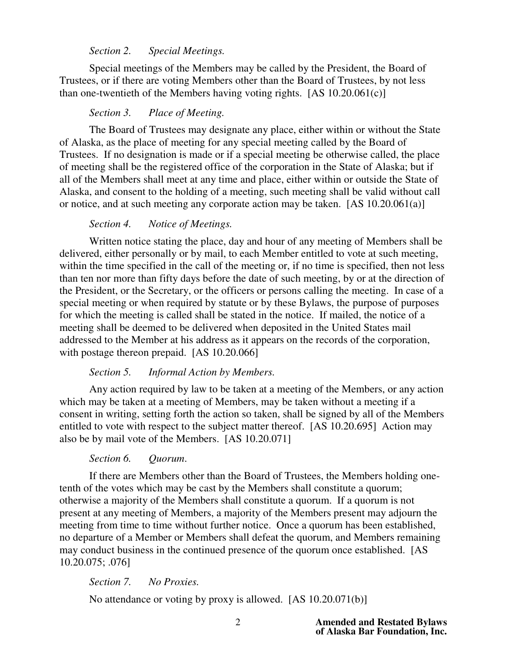# *Section 2. Special Meetings.*

 Special meetings of the Members may be called by the President, the Board of Trustees, or if there are voting Members other than the Board of Trustees, by not less than one-twentieth of the Members having voting rights. [AS 10.20.061(c)]

### *Section 3. Place of Meeting.*

The Board of Trustees may designate any place, either within or without the State of Alaska, as the place of meeting for any special meeting called by the Board of Trustees. If no designation is made or if a special meeting be otherwise called, the place of meeting shall be the registered office of the corporation in the State of Alaska; but if all of the Members shall meet at any time and place, either within or outside the State of Alaska, and consent to the holding of a meeting, such meeting shall be valid without call or notice, and at such meeting any corporate action may be taken. [AS 10.20.061(a)]

### *Section 4. Notice of Meetings.*

 Written notice stating the place, day and hour of any meeting of Members shall be delivered, either personally or by mail, to each Member entitled to vote at such meeting, within the time specified in the call of the meeting or, if no time is specified, then not less than ten nor more than fifty days before the date of such meeting, by or at the direction of the President, or the Secretary, or the officers or persons calling the meeting. In case of a special meeting or when required by statute or by these Bylaws, the purpose of purposes for which the meeting is called shall be stated in the notice. If mailed, the notice of a meeting shall be deemed to be delivered when deposited in the United States mail addressed to the Member at his address as it appears on the records of the corporation, with postage thereon prepaid. [AS 10.20.066]

### *Section 5. Informal Action by Members.*

 Any action required by law to be taken at a meeting of the Members, or any action which may be taken at a meeting of Members, may be taken without a meeting if a consent in writing, setting forth the action so taken, shall be signed by all of the Members entitled to vote with respect to the subject matter thereof. [AS 10.20.695] Action may also be by mail vote of the Members. [AS 10.20.071]

### *Section 6. Quorum*.

 If there are Members other than the Board of Trustees, the Members holding onetenth of the votes which may be cast by the Members shall constitute a quorum; otherwise a majority of the Members shall constitute a quorum. If a quorum is not present at any meeting of Members, a majority of the Members present may adjourn the meeting from time to time without further notice. Once a quorum has been established, no departure of a Member or Members shall defeat the quorum, and Members remaining may conduct business in the continued presence of the quorum once established. [AS 10.20.075; .076]

#### *Section 7. No Proxies.*

No attendance or voting by proxy is allowed. [AS 10.20.071(b)]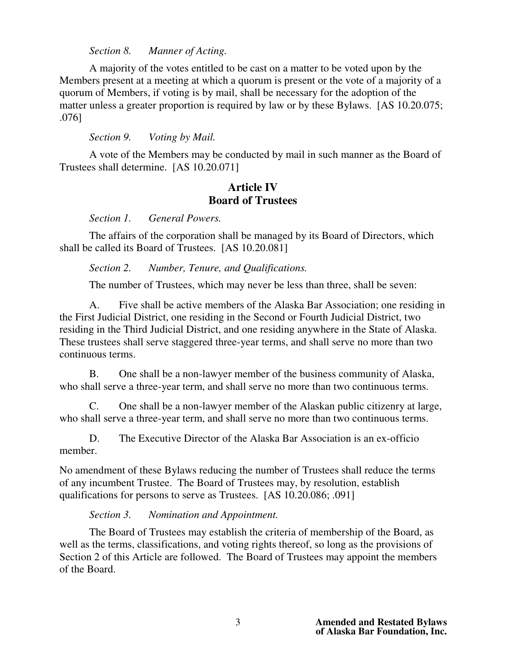*Section 8. Manner of Acting.*

 A majority of the votes entitled to be cast on a matter to be voted upon by the Members present at a meeting at which a quorum is present or the vote of a majority of a quorum of Members, if voting is by mail, shall be necessary for the adoption of the matter unless a greater proportion is required by law or by these Bylaws. [AS 10.20.075; .076]

*Section 9. Voting by Mail.*

A vote of the Members may be conducted by mail in such manner as the Board of Trustees shall determine. [AS 10.20.071]

# **Article IV Board of Trustees**

*Section 1. General Powers.*

 The affairs of the corporation shall be managed by its Board of Directors, which shall be called its Board of Trustees. [AS 10.20.081]

*Section 2. Number, Tenure, and Qualifications.*

The number of Trustees, which may never be less than three, shall be seven:

A. Five shall be active members of the Alaska Bar Association; one residing in the First Judicial District, one residing in the Second or Fourth Judicial District, two residing in the Third Judicial District, and one residing anywhere in the State of Alaska. These trustees shall serve staggered three-year terms, and shall serve no more than two continuous terms.

B. One shall be a non-lawyer member of the business community of Alaska, who shall serve a three-year term, and shall serve no more than two continuous terms.

C. One shall be a non-lawyer member of the Alaskan public citizenry at large, who shall serve a three-year term, and shall serve no more than two continuous terms.

D. The Executive Director of the Alaska Bar Association is an ex-officio member.

No amendment of these Bylaws reducing the number of Trustees shall reduce the terms of any incumbent Trustee. The Board of Trustees may, by resolution, establish qualifications for persons to serve as Trustees. [AS 10.20.086; .091]

*Section 3. Nomination and Appointment.*

The Board of Trustees may establish the criteria of membership of the Board, as well as the terms, classifications, and voting rights thereof, so long as the provisions of Section 2 of this Article are followed. The Board of Trustees may appoint the members of the Board.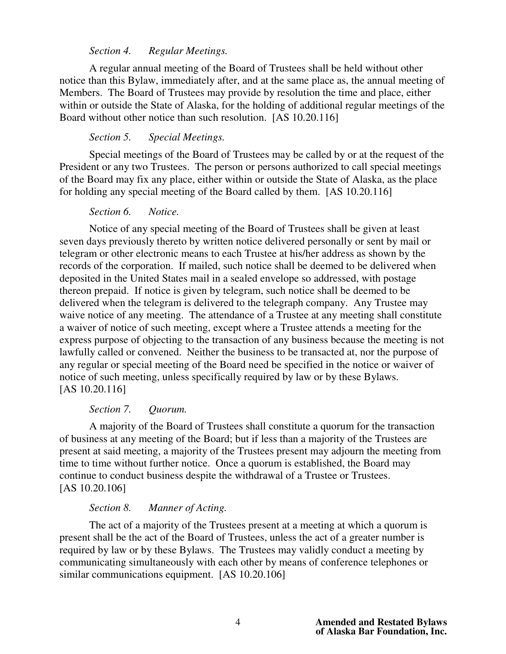### *Section 4. Regular Meetings.*

A regular annual meeting of the Board of Trustees shall be held without other notice than this Bylaw, immediately after, and at the same place as, the annual meeting of Members. The Board of Trustees may provide by resolution the time and place, either within or outside the State of Alaska, for the holding of additional regular meetings of the Board without other notice than such resolution. [AS 10.20.116]

### *Section 5. Special Meetings.*

 Special meetings of the Board of Trustees may be called by or at the request of the President or any two Trustees. The person or persons authorized to call special meetings of the Board may fix any place, either within or outside the State of Alaska, as the place for holding any special meeting of the Board called by them. [AS 10.20.116]

### *Section 6. Notice.*

Notice of any special meeting of the Board of Trustees shall be given at least seven days previously thereto by written notice delivered personally or sent by mail or telegram or other electronic means to each Trustee at his/her address as shown by the records of the corporation. If mailed, such notice shall be deemed to be delivered when deposited in the United States mail in a sealed envelope so addressed, with postage thereon prepaid. If notice is given by telegram, such notice shall be deemed to be delivered when the telegram is delivered to the telegraph company. Any Trustee may waive notice of any meeting. The attendance of a Trustee at any meeting shall constitute a waiver of notice of such meeting, except where a Trustee attends a meeting for the express purpose of objecting to the transaction of any business because the meeting is not lawfully called or convened. Neither the business to be transacted at, nor the purpose of any regular or special meeting of the Board need be specified in the notice or waiver of notice of such meeting, unless specifically required by law or by these Bylaws. [AS 10.20.116]

### *Section 7. Quorum.*

 A majority of the Board of Trustees shall constitute a quorum for the transaction of business at any meeting of the Board; but if less than a majority of the Trustees are present at said meeting, a majority of the Trustees present may adjourn the meeting from time to time without further notice. Once a quorum is established, the Board may continue to conduct business despite the withdrawal of a Trustee or Trustees. [AS 10.20.106]

#### *Section 8. Manner of Acting.*

The act of a majority of the Trustees present at a meeting at which a quorum is present shall be the act of the Board of Trustees, unless the act of a greater number is required by law or by these Bylaws. The Trustees may validly conduct a meeting by communicating simultaneously with each other by means of conference telephones or similar communications equipment. [AS 10.20.106]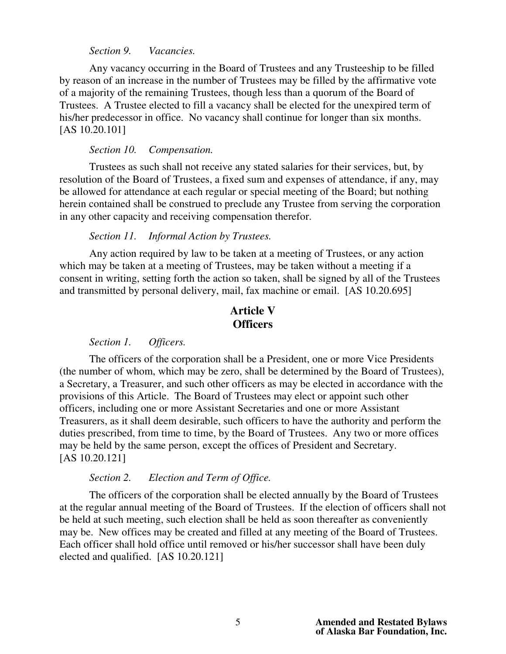#### *Section 9. Vacancies.*

 Any vacancy occurring in the Board of Trustees and any Trusteeship to be filled by reason of an increase in the number of Trustees may be filled by the affirmative vote of a majority of the remaining Trustees, though less than a quorum of the Board of Trustees. A Trustee elected to fill a vacancy shall be elected for the unexpired term of his/her predecessor in office. No vacancy shall continue for longer than six months. [AS 10.20.101]

### *Section 10. Compensation.*

Trustees as such shall not receive any stated salaries for their services, but, by resolution of the Board of Trustees, a fixed sum and expenses of attendance, if any, may be allowed for attendance at each regular or special meeting of the Board; but nothing herein contained shall be construed to preclude any Trustee from serving the corporation in any other capacity and receiving compensation therefor.

### *Section 11. Informal Action by Trustees.*

 Any action required by law to be taken at a meeting of Trustees, or any action which may be taken at a meeting of Trustees, may be taken without a meeting if a consent in writing, setting forth the action so taken, shall be signed by all of the Trustees and transmitted by personal delivery, mail, fax machine or email. [AS 10.20.695]

# **Article V Officers**

# *Section 1. Officers.*

 The officers of the corporation shall be a President, one or more Vice Presidents (the number of whom, which may be zero, shall be determined by the Board of Trustees), a Secretary, a Treasurer, and such other officers as may be elected in accordance with the provisions of this Article. The Board of Trustees may elect or appoint such other officers, including one or more Assistant Secretaries and one or more Assistant Treasurers, as it shall deem desirable, such officers to have the authority and perform the duties prescribed, from time to time, by the Board of Trustees. Any two or more offices may be held by the same person, except the offices of President and Secretary. [AS 10.20.121]

#### *Section 2. Election and Term of Office.*

 The officers of the corporation shall be elected annually by the Board of Trustees at the regular annual meeting of the Board of Trustees. If the election of officers shall not be held at such meeting, such election shall be held as soon thereafter as conveniently may be. New offices may be created and filled at any meeting of the Board of Trustees. Each officer shall hold office until removed or his/her successor shall have been duly elected and qualified. [AS 10.20.121]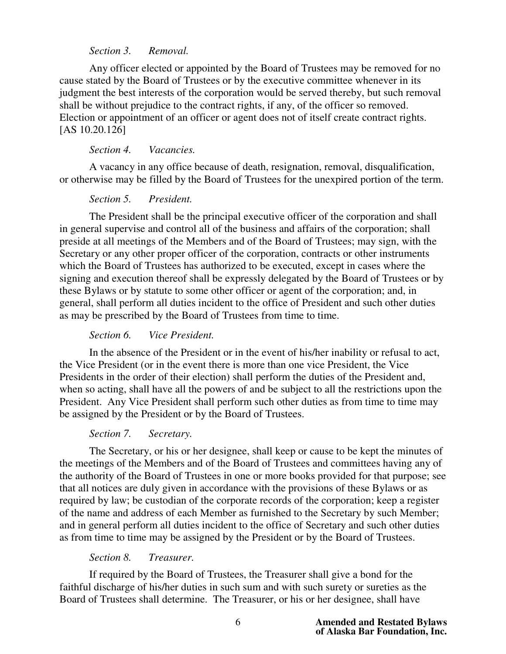## *Section 3. Removal.*

 Any officer elected or appointed by the Board of Trustees may be removed for no cause stated by the Board of Trustees or by the executive committee whenever in its judgment the best interests of the corporation would be served thereby, but such removal shall be without prejudice to the contract rights, if any, of the officer so removed. Election or appointment of an officer or agent does not of itself create contract rights. [AS 10.20.126]

# *Section 4. Vacancies.*

A vacancy in any office because of death, resignation, removal, disqualification, or otherwise may be filled by the Board of Trustees for the unexpired portion of the term.

# *Section 5. President.*

The President shall be the principal executive officer of the corporation and shall in general supervise and control all of the business and affairs of the corporation; shall preside at all meetings of the Members and of the Board of Trustees; may sign, with the Secretary or any other proper officer of the corporation, contracts or other instruments which the Board of Trustees has authorized to be executed, except in cases where the signing and execution thereof shall be expressly delegated by the Board of Trustees or by these Bylaws or by statute to some other officer or agent of the corporation; and, in general, shall perform all duties incident to the office of President and such other duties as may be prescribed by the Board of Trustees from time to time.

# *Section 6. Vice President.*

In the absence of the President or in the event of his/her inability or refusal to act, the Vice President (or in the event there is more than one vice President, the Vice Presidents in the order of their election) shall perform the duties of the President and, when so acting, shall have all the powers of and be subject to all the restrictions upon the President. Any Vice President shall perform such other duties as from time to time may be assigned by the President or by the Board of Trustees.

### *Section 7. Secretary.*

The Secretary, or his or her designee, shall keep or cause to be kept the minutes of the meetings of the Members and of the Board of Trustees and committees having any of the authority of the Board of Trustees in one or more books provided for that purpose; see that all notices are duly given in accordance with the provisions of these Bylaws or as required by law; be custodian of the corporate records of the corporation; keep a register of the name and address of each Member as furnished to the Secretary by such Member; and in general perform all duties incident to the office of Secretary and such other duties as from time to time may be assigned by the President or by the Board of Trustees.

# *Section 8. Treasurer.*

 If required by the Board of Trustees, the Treasurer shall give a bond for the faithful discharge of his/her duties in such sum and with such surety or sureties as the Board of Trustees shall determine. The Treasurer, or his or her designee, shall have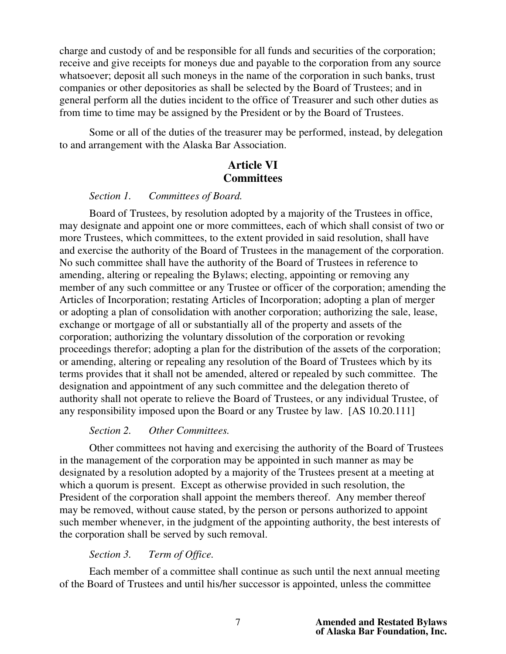charge and custody of and be responsible for all funds and securities of the corporation; receive and give receipts for moneys due and payable to the corporation from any source whatsoever; deposit all such moneys in the name of the corporation in such banks, trust companies or other depositories as shall be selected by the Board of Trustees; and in general perform all the duties incident to the office of Treasurer and such other duties as from time to time may be assigned by the President or by the Board of Trustees.

 Some or all of the duties of the treasurer may be performed, instead, by delegation to and arrangement with the Alaska Bar Association.

# **Article VI Committees**

### *Section 1. Committees of Board.*

 Board of Trustees, by resolution adopted by a majority of the Trustees in office, may designate and appoint one or more committees, each of which shall consist of two or more Trustees, which committees, to the extent provided in said resolution, shall have and exercise the authority of the Board of Trustees in the management of the corporation. No such committee shall have the authority of the Board of Trustees in reference to amending, altering or repealing the Bylaws; electing, appointing or removing any member of any such committee or any Trustee or officer of the corporation; amending the Articles of Incorporation; restating Articles of Incorporation; adopting a plan of merger or adopting a plan of consolidation with another corporation; authorizing the sale, lease, exchange or mortgage of all or substantially all of the property and assets of the corporation; authorizing the voluntary dissolution of the corporation or revoking proceedings therefor; adopting a plan for the distribution of the assets of the corporation; or amending, altering or repealing any resolution of the Board of Trustees which by its terms provides that it shall not be amended, altered or repealed by such committee. The designation and appointment of any such committee and the delegation thereto of authority shall not operate to relieve the Board of Trustees, or any individual Trustee, of any responsibility imposed upon the Board or any Trustee by law. [AS 10.20.111]

## *Section 2. Other Committees.*

Other committees not having and exercising the authority of the Board of Trustees in the management of the corporation may be appointed in such manner as may be designated by a resolution adopted by a majority of the Trustees present at a meeting at which a quorum is present. Except as otherwise provided in such resolution, the President of the corporation shall appoint the members thereof. Any member thereof may be removed, without cause stated, by the person or persons authorized to appoint such member whenever, in the judgment of the appointing authority, the best interests of the corporation shall be served by such removal.

### *Section 3. Term of Office.*

 Each member of a committee shall continue as such until the next annual meeting of the Board of Trustees and until his/her successor is appointed, unless the committee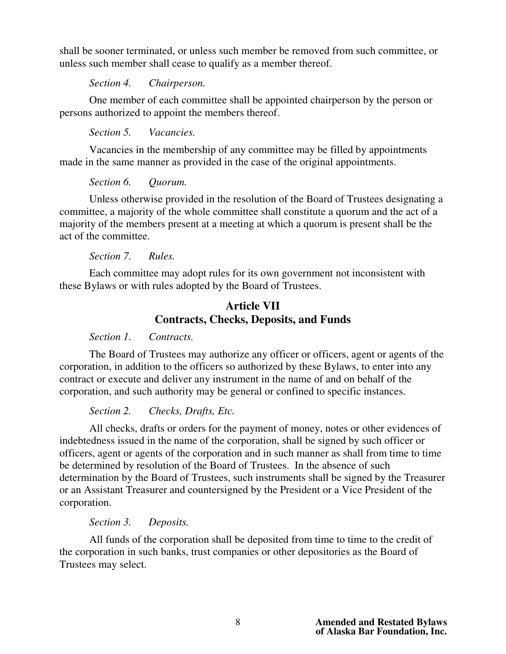shall be sooner terminated, or unless such member be removed from such committee, or unless such member shall cease to qualify as a member thereof.

*Section 4. Chairperson.*

 One member of each committee shall be appointed chairperson by the person or persons authorized to appoint the members thereof.

*Section 5. Vacancies.*

Vacancies in the membership of any committee may be filled by appointments made in the same manner as provided in the case of the original appointments.

*Section 6. Quorum.*

Unless otherwise provided in the resolution of the Board of Trustees designating a committee, a majority of the whole committee shall constitute a quorum and the act of a majority of the members present at a meeting at which a quorum is present shall be the act of the committee.

*Section 7. Rules.*

 Each committee may adopt rules for its own government not inconsistent with these Bylaws or with rules adopted by the Board of Trustees.

# **Article VII Contracts, Checks, Deposits, and Funds**

*Section 1. Contracts.*

The Board of Trustees may authorize any officer or officers, agent or agents of the corporation, in addition to the officers so authorized by these Bylaws, to enter into any contract or execute and deliver any instrument in the name of and on behalf of the corporation, and such authority may be general or confined to specific instances.

*Section 2. Checks, Drafts, Etc.*

All checks, drafts or orders for the payment of money, notes or other evidences of indebtedness issued in the name of the corporation, shall be signed by such officer or officers, agent or agents of the corporation and in such manner as shall from time to time be determined by resolution of the Board of Trustees. In the absence of such determination by the Board of Trustees, such instruments shall be signed by the Treasurer or an Assistant Treasurer and countersigned by the President or a Vice President of the corporation.

*Section 3. Deposits.*

 All funds of the corporation shall be deposited from time to time to the credit of the corporation in such banks, trust companies or other depositories as the Board of Trustees may select.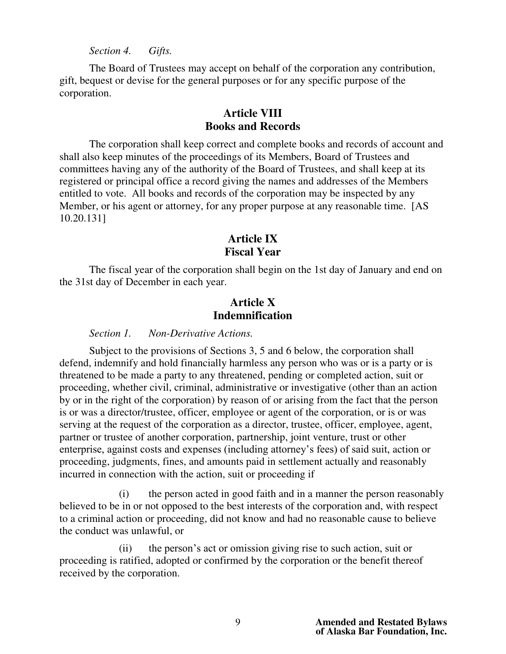*Section 4. Gifts.*

The Board of Trustees may accept on behalf of the corporation any contribution, gift, bequest or devise for the general purposes or for any specific purpose of the corporation.

# **Article VIII Books and Records**

The corporation shall keep correct and complete books and records of account and shall also keep minutes of the proceedings of its Members, Board of Trustees and committees having any of the authority of the Board of Trustees, and shall keep at its registered or principal office a record giving the names and addresses of the Members entitled to vote. All books and records of the corporation may be inspected by any Member, or his agent or attorney, for any proper purpose at any reasonable time. [AS] 10.20.131]

# **Article IX Fiscal Year**

 The fiscal year of the corporation shall begin on the 1st day of January and end on the 31st day of December in each year.

# **Article X Indemnification**

### *Section 1. Non-Derivative Actions.*

 Subject to the provisions of Sections 3, 5 and 6 below, the corporation shall defend, indemnify and hold financially harmless any person who was or is a party or is threatened to be made a party to any threatened, pending or completed action, suit or proceeding, whether civil, criminal, administrative or investigative (other than an action by or in the right of the corporation) by reason of or arising from the fact that the person is or was a director/trustee, officer, employee or agent of the corporation, or is or was serving at the request of the corporation as a director, trustee, officer, employee, agent, partner or trustee of another corporation, partnership, joint venture, trust or other enterprise, against costs and expenses (including attorney's fees) of said suit, action or proceeding, judgments, fines, and amounts paid in settlement actually and reasonably incurred in connection with the action, suit or proceeding if

 (i) the person acted in good faith and in a manner the person reasonably believed to be in or not opposed to the best interests of the corporation and, with respect to a criminal action or proceeding, did not know and had no reasonable cause to believe the conduct was unlawful, or

 (ii) the person's act or omission giving rise to such action, suit or proceeding is ratified, adopted or confirmed by the corporation or the benefit thereof received by the corporation.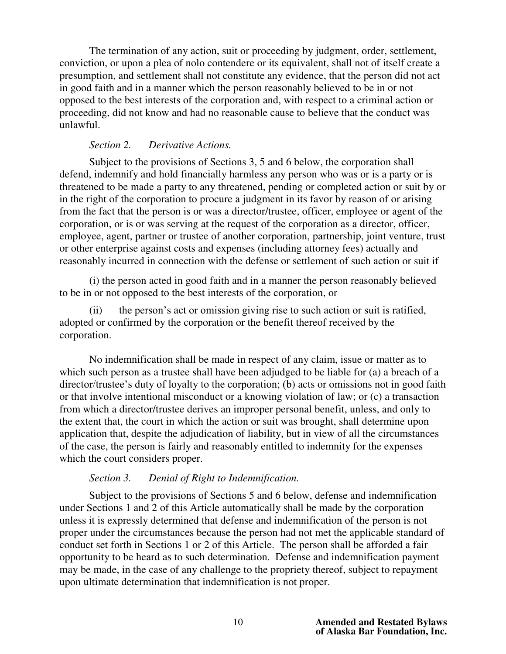The termination of any action, suit or proceeding by judgment, order, settlement, conviction, or upon a plea of nolo contendere or its equivalent, shall not of itself create a presumption, and settlement shall not constitute any evidence, that the person did not act in good faith and in a manner which the person reasonably believed to be in or not opposed to the best interests of the corporation and, with respect to a criminal action or proceeding, did not know and had no reasonable cause to believe that the conduct was unlawful.

## *Section 2. Derivative Actions.*

 Subject to the provisions of Sections 3, 5 and 6 below, the corporation shall defend, indemnify and hold financially harmless any person who was or is a party or is threatened to be made a party to any threatened, pending or completed action or suit by or in the right of the corporation to procure a judgment in its favor by reason of or arising from the fact that the person is or was a director/trustee, officer, employee or agent of the corporation, or is or was serving at the request of the corporation as a director, officer, employee, agent, partner or trustee of another corporation, partnership, joint venture, trust or other enterprise against costs and expenses (including attorney fees) actually and reasonably incurred in connection with the defense or settlement of such action or suit if

(i) the person acted in good faith and in a manner the person reasonably believed to be in or not opposed to the best interests of the corporation, or

(ii) the person's act or omission giving rise to such action or suit is ratified, adopted or confirmed by the corporation or the benefit thereof received by the corporation.

 No indemnification shall be made in respect of any claim, issue or matter as to which such person as a trustee shall have been adjudged to be liable for (a) a breach of a director/trustee's duty of loyalty to the corporation; (b) acts or omissions not in good faith or that involve intentional misconduct or a knowing violation of law; or (c) a transaction from which a director/trustee derives an improper personal benefit, unless, and only to the extent that, the court in which the action or suit was brought, shall determine upon application that, despite the adjudication of liability, but in view of all the circumstances of the case, the person is fairly and reasonably entitled to indemnity for the expenses which the court considers proper.

### *Section 3. Denial of Right to Indemnification.*

 Subject to the provisions of Sections 5 and 6 below, defense and indemnification under Sections 1 and 2 of this Article automatically shall be made by the corporation unless it is expressly determined that defense and indemnification of the person is not proper under the circumstances because the person had not met the applicable standard of conduct set forth in Sections 1 or 2 of this Article. The person shall be afforded a fair opportunity to be heard as to such determination. Defense and indemnification payment may be made, in the case of any challenge to the propriety thereof, subject to repayment upon ultimate determination that indemnification is not proper.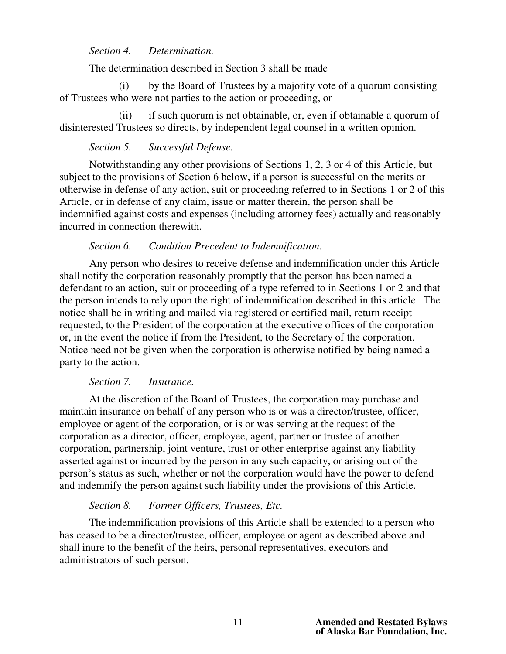### *Section 4. Determination.*

The determination described in Section 3 shall be made

 (i) by the Board of Trustees by a majority vote of a quorum consisting of Trustees who were not parties to the action or proceeding, or

 (ii) if such quorum is not obtainable, or, even if obtainable a quorum of disinterested Trustees so directs, by independent legal counsel in a written opinion.

### *Section 5. Successful Defense.*

Notwithstanding any other provisions of Sections 1, 2, 3 or 4 of this Article, but subject to the provisions of Section 6 below, if a person is successful on the merits or otherwise in defense of any action, suit or proceeding referred to in Sections 1 or 2 of this Article, or in defense of any claim, issue or matter therein, the person shall be indemnified against costs and expenses (including attorney fees) actually and reasonably incurred in connection therewith.

### *Section 6. Condition Precedent to Indemnification.*

 Any person who desires to receive defense and indemnification under this Article shall notify the corporation reasonably promptly that the person has been named a defendant to an action, suit or proceeding of a type referred to in Sections 1 or 2 and that the person intends to rely upon the right of indemnification described in this article. The notice shall be in writing and mailed via registered or certified mail, return receipt requested, to the President of the corporation at the executive offices of the corporation or, in the event the notice if from the President, to the Secretary of the corporation. Notice need not be given when the corporation is otherwise notified by being named a party to the action.

### *Section 7. Insurance.*

At the discretion of the Board of Trustees, the corporation may purchase and maintain insurance on behalf of any person who is or was a director/trustee, officer, employee or agent of the corporation, or is or was serving at the request of the corporation as a director, officer, employee, agent, partner or trustee of another corporation, partnership, joint venture, trust or other enterprise against any liability asserted against or incurred by the person in any such capacity, or arising out of the person's status as such, whether or not the corporation would have the power to defend and indemnify the person against such liability under the provisions of this Article.

### *Section 8. Former Officers, Trustees, Etc.*

The indemnification provisions of this Article shall be extended to a person who has ceased to be a director/trustee, officer, employee or agent as described above and shall inure to the benefit of the heirs, personal representatives, executors and administrators of such person.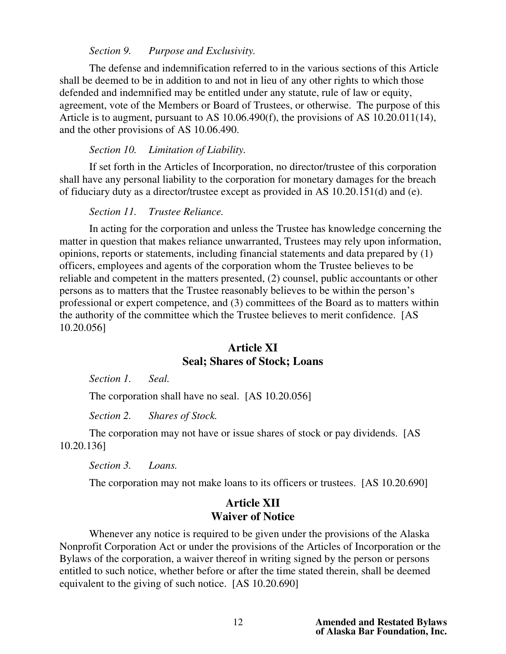### *Section 9. Purpose and Exclusivity.*

 The defense and indemnification referred to in the various sections of this Article shall be deemed to be in addition to and not in lieu of any other rights to which those defended and indemnified may be entitled under any statute, rule of law or equity, agreement, vote of the Members or Board of Trustees, or otherwise. The purpose of this Article is to augment, pursuant to AS 10.06.490(f), the provisions of AS 10.20.011(14), and the other provisions of AS 10.06.490.

### *Section 10. Limitation of Liability.*

 If set forth in the Articles of Incorporation, no director/trustee of this corporation shall have any personal liability to the corporation for monetary damages for the breach of fiduciary duty as a director/trustee except as provided in AS 10.20.151(d) and (e).

#### *Section 11. Trustee Reliance.*

In acting for the corporation and unless the Trustee has knowledge concerning the matter in question that makes reliance unwarranted, Trustees may rely upon information, opinions, reports or statements, including financial statements and data prepared by (1) officers, employees and agents of the corporation whom the Trustee believes to be reliable and competent in the matters presented, (2) counsel, public accountants or other persons as to matters that the Trustee reasonably believes to be within the person's professional or expert competence, and (3) committees of the Board as to matters within the authority of the committee which the Trustee believes to merit confidence. [AS 10.20.056]

## **Article XI Seal; Shares of Stock; Loans**

*Section 1. Seal.* 

The corporation shall have no seal. [AS 10.20.056]

 *Section 2. Shares of Stock.* 

The corporation may not have or issue shares of stock or pay dividends. [AS 10.20.136]

 *Section 3. Loans.*

The corporation may not make loans to its officers or trustees. [AS 10.20.690]

# **Article XII Waiver of Notice**

 Whenever any notice is required to be given under the provisions of the Alaska Nonprofit Corporation Act or under the provisions of the Articles of Incorporation or the Bylaws of the corporation, a waiver thereof in writing signed by the person or persons entitled to such notice, whether before or after the time stated therein, shall be deemed equivalent to the giving of such notice. [AS 10.20.690]